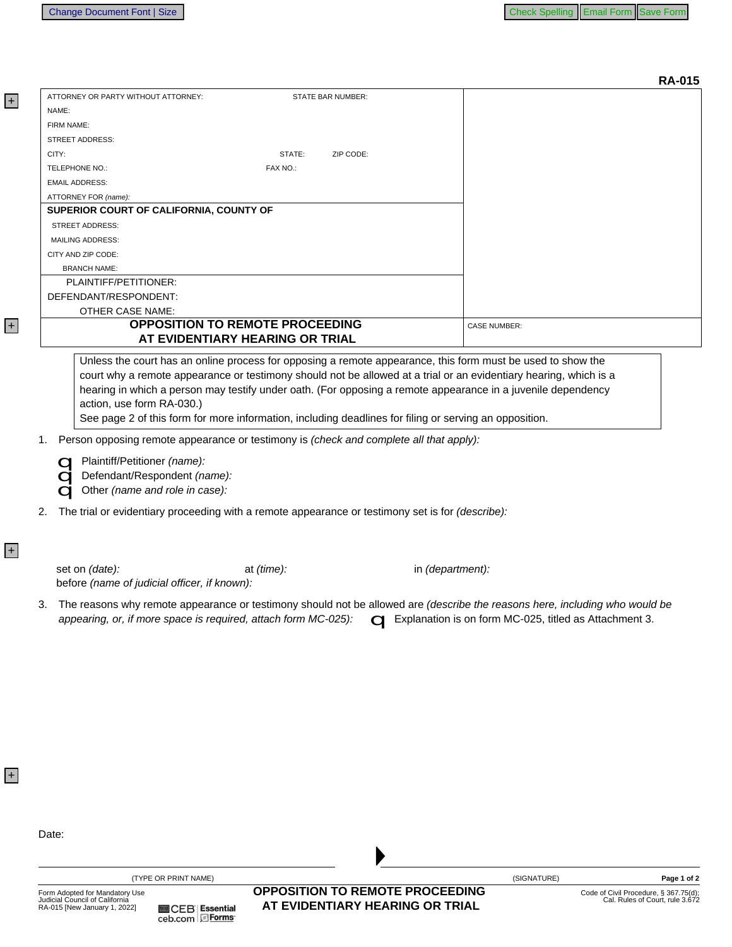+

+

+

+

**RA-015** 

| ATTORNEY OR PARTY WITHOUT ATTORNEY:                                                                                                                                                                 | <b>STATE BAR NUMBER:</b>               |                  |                     |                                                                          |
|-----------------------------------------------------------------------------------------------------------------------------------------------------------------------------------------------------|----------------------------------------|------------------|---------------------|--------------------------------------------------------------------------|
| NAME:                                                                                                                                                                                               |                                        |                  |                     |                                                                          |
| FIRM NAME:                                                                                                                                                                                          |                                        |                  |                     |                                                                          |
| <b>STREET ADDRESS:</b>                                                                                                                                                                              |                                        |                  |                     |                                                                          |
| CITY:                                                                                                                                                                                               | STATE:<br>ZIP CODE:                    |                  |                     |                                                                          |
| TELEPHONE NO.:                                                                                                                                                                                      | FAX NO.:                               |                  |                     |                                                                          |
| <b>EMAIL ADDRESS:</b>                                                                                                                                                                               |                                        |                  |                     |                                                                          |
| ATTORNEY FOR (name):                                                                                                                                                                                |                                        |                  |                     |                                                                          |
| SUPERIOR COURT OF CALIFORNIA, COUNTY OF                                                                                                                                                             |                                        |                  |                     |                                                                          |
| <b>STREET ADDRESS:</b>                                                                                                                                                                              |                                        |                  |                     |                                                                          |
| <b>MAILING ADDRESS:</b>                                                                                                                                                                             |                                        |                  |                     |                                                                          |
| CITY AND ZIP CODE:                                                                                                                                                                                  |                                        |                  |                     |                                                                          |
| <b>BRANCH NAME:</b>                                                                                                                                                                                 |                                        |                  |                     |                                                                          |
| PLAINTIFF/PETITIONER:                                                                                                                                                                               |                                        |                  |                     |                                                                          |
| DEFENDANT/RESPONDENT:                                                                                                                                                                               |                                        |                  |                     |                                                                          |
| <b>OTHER CASE NAME:</b>                                                                                                                                                                             |                                        |                  |                     |                                                                          |
|                                                                                                                                                                                                     | <b>OPPOSITION TO REMOTE PROCEEDING</b> |                  | <b>CASE NUMBER:</b> |                                                                          |
|                                                                                                                                                                                                     | AT EVIDENTIARY HEARING OR TRIAL        |                  |                     |                                                                          |
|                                                                                                                                                                                                     |                                        |                  |                     |                                                                          |
| Unless the court has an online process for opposing a remote appearance, this form must be used to show the                                                                                         |                                        |                  |                     |                                                                          |
| court why a remote appearance or testimony should not be allowed at a trial or an evidentiary hearing, which is a                                                                                   |                                        |                  |                     |                                                                          |
| hearing in which a person may testify under oath. (For opposing a remote appearance in a juvenile dependency                                                                                        |                                        |                  |                     |                                                                          |
| action, use form RA-030.)                                                                                                                                                                           |                                        |                  |                     |                                                                          |
| See page 2 of this form for more information, including deadlines for filing or serving an opposition.                                                                                              |                                        |                  |                     |                                                                          |
| Person opposing remote appearance or testimony is (check and complete all that apply):                                                                                                              |                                        |                  |                     |                                                                          |
| 1.                                                                                                                                                                                                  |                                        |                  |                     |                                                                          |
| Plaintiff/Petitioner (name):                                                                                                                                                                        |                                        |                  |                     |                                                                          |
| Defendant/Respondent (name):                                                                                                                                                                        |                                        |                  |                     |                                                                          |
| Other (name and role in case):                                                                                                                                                                      |                                        |                  |                     |                                                                          |
|                                                                                                                                                                                                     |                                        |                  |                     |                                                                          |
| The trial or evidentiary proceeding with a remote appearance or testimony set is for (describe):<br>2.                                                                                              |                                        |                  |                     |                                                                          |
| set on (date):<br>before (name of judicial officer, if known):<br>The reasons why remote appearance or testimony should not be allowed are (describe the reasons here, including who would be<br>3. | at (time):                             | in (department): |                     |                                                                          |
| appearing, or, if more space is required, attach form MC-025):<br><b>C</b> Explanation is on form MC-025, titled as Attachment 3.                                                                   |                                        |                  |                     |                                                                          |
|                                                                                                                                                                                                     |                                        |                  |                     |                                                                          |
|                                                                                                                                                                                                     |                                        |                  |                     |                                                                          |
|                                                                                                                                                                                                     |                                        |                  |                     |                                                                          |
|                                                                                                                                                                                                     |                                        |                  |                     |                                                                          |
|                                                                                                                                                                                                     |                                        |                  |                     |                                                                          |
|                                                                                                                                                                                                     |                                        |                  |                     |                                                                          |
|                                                                                                                                                                                                     |                                        |                  |                     |                                                                          |
|                                                                                                                                                                                                     |                                        |                  |                     |                                                                          |
|                                                                                                                                                                                                     |                                        |                  |                     |                                                                          |
|                                                                                                                                                                                                     |                                        |                  |                     |                                                                          |
|                                                                                                                                                                                                     |                                        |                  |                     |                                                                          |
|                                                                                                                                                                                                     |                                        |                  |                     |                                                                          |
|                                                                                                                                                                                                     |                                        |                  |                     |                                                                          |
| Date:                                                                                                                                                                                               |                                        |                  |                     |                                                                          |
|                                                                                                                                                                                                     |                                        |                  |                     |                                                                          |
|                                                                                                                                                                                                     |                                        |                  |                     |                                                                          |
| (TYPE OR PRINT NAME)                                                                                                                                                                                |                                        |                  | (SIGNATURE)         | Page 1 of 2                                                              |
| Form Adopted for Mandatory Use                                                                                                                                                                      | <b>OPPOSITION TO REMOTE PROCEEDING</b> |                  |                     |                                                                          |
| Judicial Council of California                                                                                                                                                                      | AT EVIDENTIARY HEARING OR TRIAL        |                  |                     | Code of Civil Procedure, § 367.75(d);<br>Cal. Rules of Court, rule 3.672 |
| RA-015 [New January 1, 2022]<br><b>■CEB Essential</b><br>ceb.com EForms                                                                                                                             |                                        |                  |                     |                                                                          |
|                                                                                                                                                                                                     |                                        |                  |                     |                                                                          |
|                                                                                                                                                                                                     |                                        |                  |                     |                                                                          |